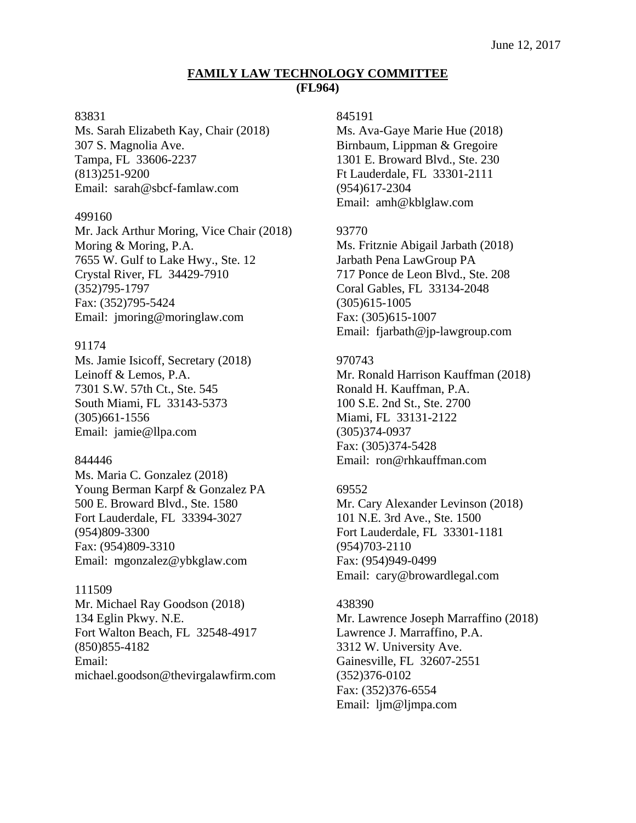# **FAMILY LAW TECHNOLOGY COMMITTEE (FL964)**

#### 83831

Ms. Sarah Elizabeth Kay, Chair (2018) 307 S. Magnolia Ave. Tampa, FL 33606-2237 (813)251-9200 Email: sarah@sbcf-famlaw.com

#### 499160

Mr. Jack Arthur Moring, Vice Chair (2018) Moring & Moring, P.A. 7655 W. Gulf to Lake Hwy., Ste. 12 Crystal River, FL 34429-7910 (352)795-1797 Fax: (352)795-5424 Email: jmoring@moringlaw.com

### 91174

Ms. Jamie Isicoff, Secretary (2018) Leinoff & Lemos, P.A. 7301 S.W. 57th Ct., Ste. 545 South Miami, FL 33143-5373 (305)661-1556 Email: jamie@llpa.com

### 844446

Ms. Maria C. Gonzalez (2018) Young Berman Karpf & Gonzalez PA 500 E. Broward Blvd., Ste. 1580 Fort Lauderdale, FL 33394-3027 (954)809-3300 Fax: (954)809-3310 Email: mgonzalez@ybkglaw.com

### 111509

Mr. Michael Ray Goodson (2018) 134 Eglin Pkwy. N.E. Fort Walton Beach, FL 32548-4917 (850)855-4182 Email: michael.goodson@thevirgalawfirm.com

## 845191

Ms. Ava-Gaye Marie Hue (2018) Birnbaum, Lippman & Gregoire 1301 E. Broward Blvd., Ste. 230 Ft Lauderdale, FL 33301-2111 (954)617-2304 Email: amh@kblglaw.com

### 93770

Ms. Fritznie Abigail Jarbath (2018) Jarbath Pena LawGroup PA 717 Ponce de Leon Blvd., Ste. 208 Coral Gables, FL 33134-2048 (305)615-1005 Fax: (305)615-1007 Email: fjarbath@jp-lawgroup.com

# 970743

Mr. Ronald Harrison Kauffman (2018) Ronald H. Kauffman, P.A. 100 S.E. 2nd St., Ste. 2700 Miami, FL 33131-2122 (305)374-0937 Fax: (305)374-5428 Email: ron@rhkauffman.com

### 69552

Mr. Cary Alexander Levinson (2018) 101 N.E. 3rd Ave., Ste. 1500 Fort Lauderdale, FL 33301-1181 (954)703-2110 Fax: (954)949-0499 Email: cary@browardlegal.com

#### 438390

Mr. Lawrence Joseph Marraffino (2018) Lawrence J. Marraffino, P.A. 3312 W. University Ave. Gainesville, FL 32607-2551 (352)376-0102 Fax: (352)376-6554 Email: ljm@ljmpa.com